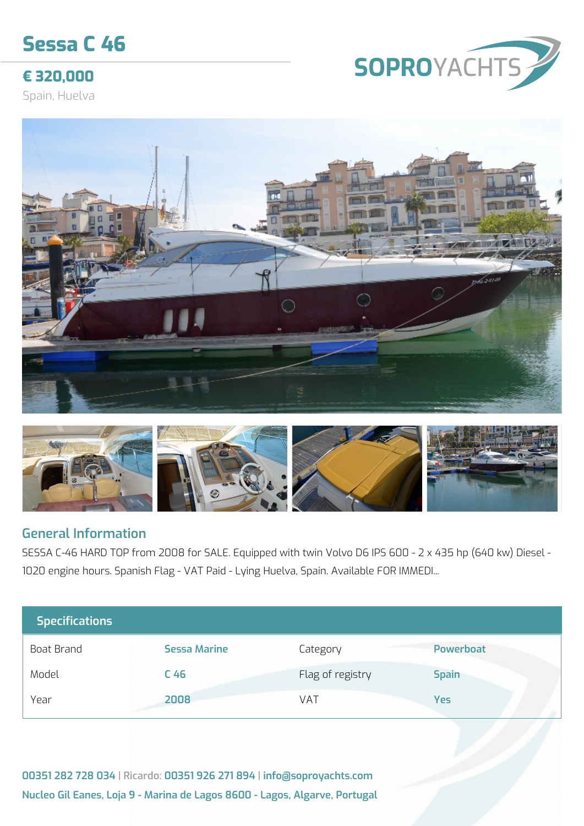# **Sessa C 46**

## **€ 320,000**

Spain, Huelva







#### **General Information**

SESSA C-46 HARD TOP from 2008 for SALE. Equipped with twin Volvo D6 IPS 600 - 2 x 435 hp (640 kw) Diesel - 1020 engine hours. Spanish Flag - VAT Paid - Lying Huelva, Spain. Available FOR IMMEDI...

| <b>Specifications</b> |                     |                  |                  |
|-----------------------|---------------------|------------------|------------------|
| Boat Brand            | <b>Sessa Marine</b> | Category         | <b>Powerboat</b> |
| Model                 | C <sub>46</sub>     | Flag of registry | <b>Spain</b>     |
| Year                  | 2008                | VAT              | <b>Yes</b>       |

**00351 282 728 034 | Ricardo: 00351 926 271 894 | info@soproyachts.com Nucleo Gil Eanes, Loja 9 - Marina de Lagos 8600 - Lagos, Algarve, Portugal**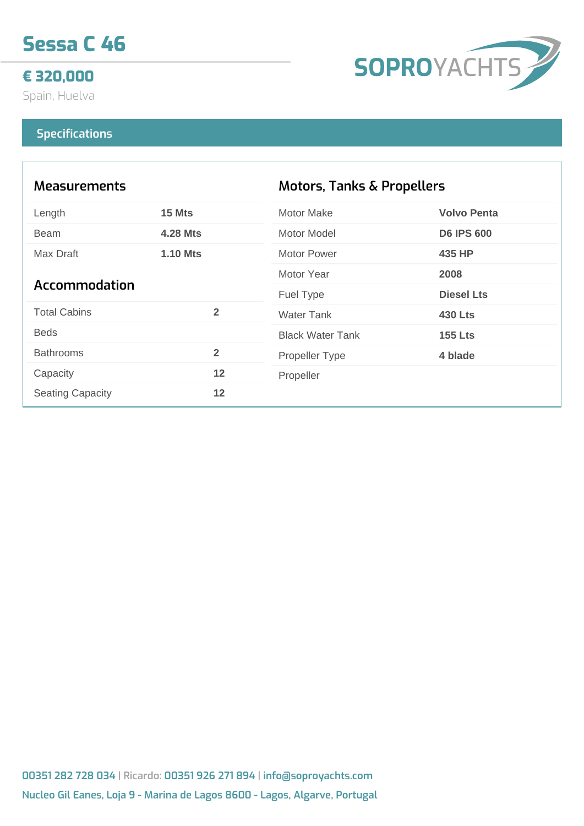

### **€ 320,000**

Spain, Huelva



#### **Specifications**

| <b>Measurements</b>     |                 | <b>Motors, Tanks &amp; Propellers</b> |                    |
|-------------------------|-----------------|---------------------------------------|--------------------|
| Length                  | 15 Mts          | <b>Motor Make</b>                     | <b>Volvo Penta</b> |
| <b>Beam</b>             | <b>4.28 Mts</b> | Motor Model                           | <b>D6 IPS 600</b>  |
| Max Draft               | <b>1.10 Mts</b> | Motor Power                           | 435 HP             |
| Accommodation           |                 | Motor Year                            | 2008               |
|                         |                 | Fuel Type                             | <b>Diesel Lts</b>  |
| <b>Total Cabins</b>     | $\overline{2}$  | <b>Water Tank</b>                     | <b>430 Lts</b>     |
| <b>Beds</b>             |                 | <b>Black Water Tank</b>               | <b>155 Lts</b>     |
| <b>Bathrooms</b>        | $\overline{2}$  | <b>Propeller Type</b>                 | 4 blade            |
| Capacity                | 12              | Propeller                             |                    |
| <b>Seating Capacity</b> | 12              |                                       |                    |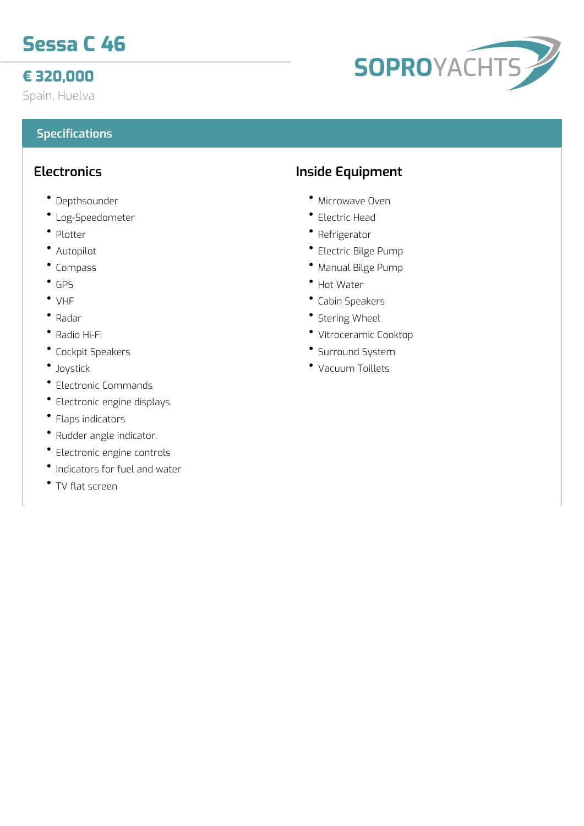# **Sessa C 46**

## **€ 320,000**

Spain, Huelva

#### **Specifications**

#### **Electronics**

- Depthsounder
- Log-Speedometer
- Plotter
- Autopilot
- Compass
- GPS
- VHF
- Radar
- Radio Hi-Fi
- Cockpit Speakers
- Joystick
- Electronic Commands
- Electronic engine displays.
- Flaps indicators
- Rudder angle indicator.
- Electronic engine controls
- Indicators for fuel and water
- TV flat screen

## **Inside Equipment**

- Microwave Oven
- Electric Head
- Refrigerator
- Electric Bilge Pump
- Manual Bilge Pump
- Hot Water
- Cabin Speakers
- Stering Wheel
- Vitroceramic Cooktop
- Surround System
- Vacuum Toillets